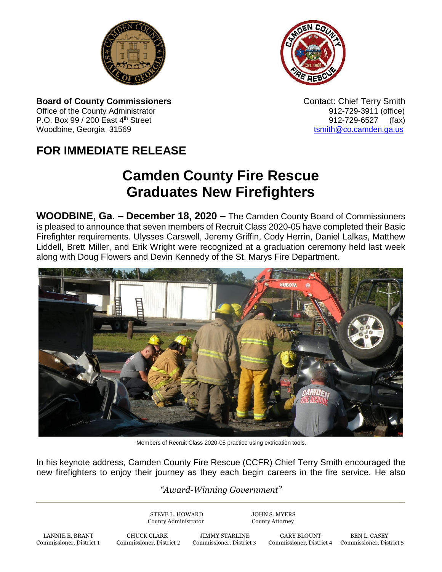



**Board of County Commissioners CONTER 1999** Contact: Chief Terry Smith Office of the County Administrator 61 and 2012-729-3911 (office) P.O. Box 99 / 200 East  $4^{\text{th}}$  Street 912-729-6527 (fax) Woodbine, Georgia 31569 to the control of the control of the control of the control of the control of the control of the control of the control of the control of the control of the control of the control of the control of

## **FOR IMMEDIATE RELEASE**

## **Camden County Fire Rescue Graduates New Firefighters**

**WOODBINE, Ga. – December 18, 2020 –** The Camden County Board of Commissioners is pleased to announce that seven members of Recruit Class 2020-05 have completed their Basic Firefighter requirements. Ulysses Carswell, Jeremy Griffin, Cody Herrin, Daniel Lalkas, Matthew Liddell, Brett Miller, and Erik Wright were recognized at a graduation ceremony held last week along with Doug Flowers and Devin Kennedy of the St. Marys Fire Department.



Members of Recruit Class 2020-05 practice using extrication tools.

In his keynote address, Camden County Fire Rescue (CCFR) Chief Terry Smith encouraged the new firefighters to enjoy their journey as they each begin careers in the fire service. He also

## *"Award-Winning Government"*

STEVE L. HOWARD JOHN S. MYERS County Administrator County Attorney

LANNIE E. BRANT CHUCK CLARK JIMMY STARLINE GARY BLOUNT BEN L. CASEY Commissioner, District 1 Commissioner, District 2 Commissioner, District 3 Commissioner, District 4 Commissioner, District 1

Commissioner, District 4 Commissioner, District 5